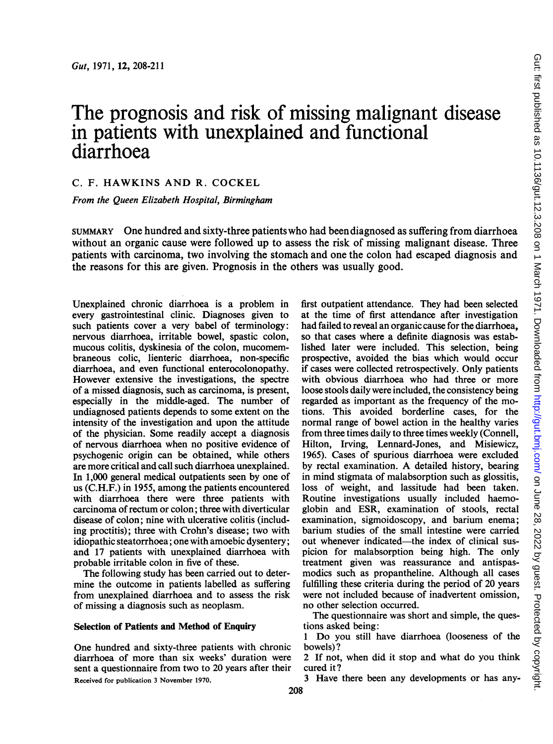# The prognosis and risk of missing malignant disease in patients with unexplained and functional diarrhoea

C. F. HAWKINS AND R. COCKEL

From the Queen Elizabeth Hospital, Birmingham

SUMMARY One hundred and sixty-three patients who had beendiagnosed as suffering from diarrhoea without an organic cause were followed up to assess the risk of missing malignant disease. Three patients with carcinoma, two involving the stomach and one the colon had escaped diagnosis and the reasons for this are given. Prognosis in the others was usually good.

Unexplained chronic diarrhoea is a problem in every gastrointestinal clinic. Diagnoses given to such patients cover a very babel of terminology: nervous diarrhoea, irritable bowel, spastic colon, mucous colitis, dyskinesia of the colon, mucomembraneous colic, lienteric diarrhoea, non-specific diarrhoea, and even functional enterocolonopathy. However extensive the investigations, the spectre of a missed diagnosis, such as carcinoma, is present, especially in the middle-aged. The number of undiagnosed patients depends to some extent on the intensity of the investigation and upon the attitude of the physician. Some readily accept a diagnosis of nervous diarrhoea when no positive evidence of psychogenic origin can be obtained, while others are more critical and call such diarrhoea unexplained. In 1,000 general medical outpatients seen by one of us (C.H.F.) in 1955, among the patients encountered with diarrhoea there were three patients with carcinoma of rectum or colon; three with diverticular disease of colon; nine with ulcerative colitis (including proctitis); three with Crohn's disease; two with idiopathic steatorrhoea; one with amoebic dysentery; and 17 patients with unexplained diarrhoea with probable irritable colon in five of these.

The following study has been carried out to determine the outcome in patients labelled as suffering from unexplained diarrhoea and to assess the risk of missing a diagnosis such as neoplasm.

### Selection of Patients and Method of Enquiry

One hundred and sixty-three patients with chronic diarrhoea of more than six weeks' duration were sent a questionnaire from two to 20 years after their Received for publication <sup>3</sup> November 1970.

first outpatient attendance. They had been selected at the time of first attendance after investigation had failed to reveal an organic cause for the diarrhoea, so that cases where a definite diagnosis was established later were included. This selection, being prospective, avoided the bias which would occur if cases were collected retrospectively. Only patients with obvious diarrhoea who had three or more loose stools daily were included, the consistency being regarded as important as the frequency of the motions. This avoided borderline cases, for the normal range of bowel action in the healthy varies from three times daily to three times weekly (Connell, Hilton, Irving, Lennard-Jones, and Misiewicz, 1965). Cases of spurious diarrhoea were excluded by rectal examination. A detailed history, bearing in mind stigmata of malabsorption such as glossitis, loss of weight, and lassitude had been taken. Routine investigations usually included haemoglobin and ESR, examination of stools, rectal examination, sigmoidoscopy, and barium enema; barium studies of the small intestine were carried out whenever indicated—the index of clinical suspicion for malabsorption being high. The only treatment given was reassurance and antispasmodics such as propantheline. Although all cases fulfilling these criteria during the period of 20 years were not included because of inadvertent omission, no other selection occurred.

The questionnaire was short and simple, the questions asked being:

<sup>1</sup> Do you still have diarrhoea (looseness of the bowels)?

<sup>2</sup> If not, when did it stop and what do you think cured it?

<sup>3</sup> Have there been any developments or has any-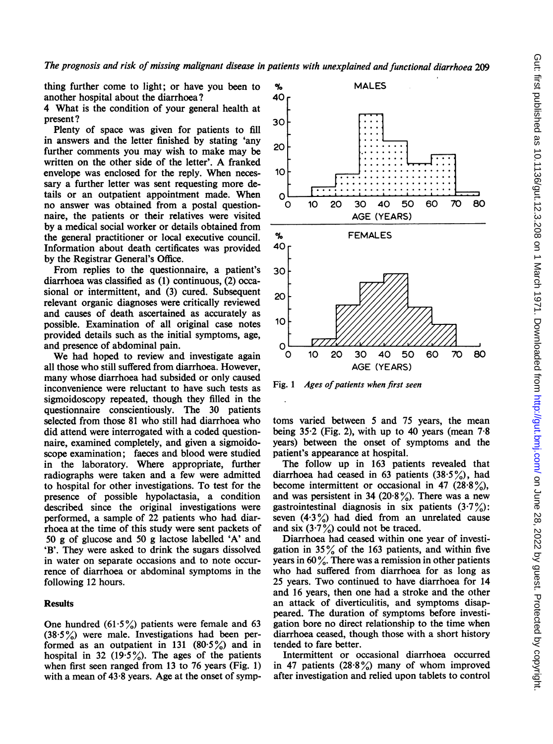thing further come to light; or have you been to another hospital about the diarrhoea?

4 What is the condition of your general health at present?

Plenty of space was given for patients to fill in answers and the letter finished by stating 'any further comments you may wish to make may be written on the other side of the letter'. A franked envelope was enclosed for the reply. When necessary a further letter was sent requesting more details or an outpatient appointment made. When no answer was obtained from a postal questionnaire, the patients or their relatives were visited by a medical social worker or details obtained from the general practitioner or local executive council. Information about death certificates was provided by the Registrar General's Office.

From replies to the questionnaire, a patient's diarrhoea was classified as (1) continuous, (2) occasional or intermittent, and (3) cured. Subsequent relevant organic diagnoses were critically reviewed and causes of death ascertained as accurately as possible. Examination of all original case notes provided details such as the initial symptoms, age, and presence of abdominal pain.

We had hoped to review and investigate again all those who still suffered from diarrhoea. However, many whose diarrhoea had subsided or only caused inconvenience were reluctant to have such tests as sigmoidoscopy repeated, though they filled in the questionnaire conscientiously. The 30 patients selected from those 81 who still had diarrhoea who did attend were interrogated with a coded questionnaire, examined completely, and given a sigmoidoscope examination; faeces and blood were studied in the laboratory. Where appropriate, further radiographs were taken and a few were admitted to hospital for other investigations. To test for the presence of possible hypolactasia, a condition described since the original investigations were performed, a sample of 22 patients who had diarrhoea at the time of this study were sent packets of 50 g of glucose and 50 g lactose labelled 'A' and 'B'. They were asked to drink the sugars dissolved in water on separate occasions and to note occurrence of diarrhoea or abdominal symptoms in the following 12 hours.

# **Results**

One hundred  $(61.5\%)$  patients were female and 63  $(38.5\%)$  were male. Investigations had been performed as an outpatient in 131  $(80.5\%)$  and in hospital in 32 (19.5%). The ages of the patients when first seen ranged from 13 to 76 years (Fig. 1) with a mean of  $43.8$  years. Age at the onset of symp-



Fig. 1 Ages of patients when first seen

toms varied between 5 and 75 years, the mean being  $35\cdot2$  (Fig. 2), with up to 40 years (mean  $7\cdot8$ years) between the onset of symptoms and the patient's appearance at hospital.

The follow up in 163 patients revealed that diarrhoea had ceased in 63 patients  $(38.5\%)$ , had become intermittent or occasional in 47 (28.8%), and was persistent in 34 (20.8%). There was a new gastrointestinal diagnosis in six patients  $(3.7\%)$ : seven  $(4.3\%)$  had died from an unrelated cause and six  $(3.7\%)$  could not be traced.

Diarrhoea had ceased within one year of investigation in  $35\%$  of the 163 patients, and within five years in  $60\%$ . There was a remission in other patients who had suffered from diarrhoea for as long as 25 years. Two continued to have diarrhoea for 14 and 16 years, then one had a stroke and the other an attack of diverticulitis, and symptoms disappeared. The duration of symptoms before investigation bore no direct relationship to the time when diarrhoea ceased, though those with a short history tended to fare better.

Intermittent or occasional diarrhoea occurred in 47 patients  $(28.8\%)$  many of whom improved after investigation and relied upon tablets to control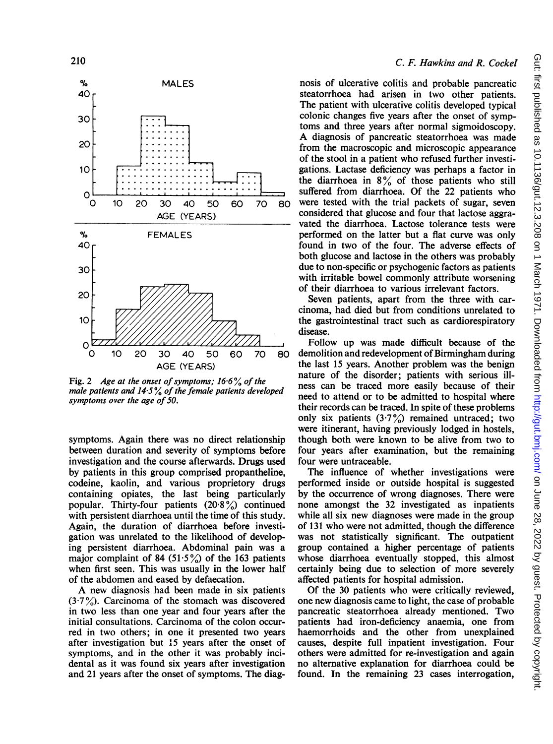

Fig. 2 Age at the onset of symptoms;  $16.6\%$  of the male patients and  $14.5\%$  of the female patients developed symptoms over the age of 50.

symptoms. Again there was no direct relationship between duration and severity of symptoms before investigation and the course afterwards. Drugs used by patients in this group comprised propantheline, codeine, kaolin, and various proprietory drugs containing opiates, the last being particularly popular. Thirty-four patients  $(20.8\%)$  continued with persistent diarrhoea until the time of this study. Again, the duration of diarrhoea before investigation was unrelated to the likelihood of developing persistent diarrhoea. Abdominal pain was a major complaint of 84 (51.5%) of the 163 patients when first seen. This was usually in the lower half of the abdomen and eased by defaecation.

A new diagnosis had been made in six patients  $(3.7\%)$ . Carcinoma of the stomach was discovered in two less than one year and four years after the initial consultations. Carcinoma of the colon occurred in two others; in one it presented two years after investigation but 15 years after the onset of symptoms, and in the other it was probably incidental as it was found six years after investigation and 21 years after the onset of symptoms. The diag-

### C. F. Hawkins and R. Cockel

nosis of ulcerative colitis and probable pancreatic steatorrhoea had arisen in two other patients. The patient with ulcerative colitis developed typical colonic changes five years after the onset of symptoms and three years after normal sigmoidoscopy. A diagnosis of pancreatic steatorrhoea was made from the macroscopic and microscopic appearance of the stool in a patient who refused further investigations. Lactase deficiency was perhaps a factor in the diarrhoea in  $8\%$  of those patients who still suffered from diarrhoea. Of the 22 patients who were tested with the trial packets of sugar, seven considered that glucose and four that lactose aggravated the diarrhoea. Lactose tolerance tests were performed on the latter but a flat curve was only found in two of the four. The adverse effects of both glucose and lactose in the others was probably due to non-specific or psychogenic factors as patients with irritable bowel commonly attribute worsening of their diarrhoea to various irrelevant factors.

Seven patients, apart from the three with carcinoma, had died but from conditions unrelated to the gastrointestinal tract such as cardiorespiratory disease.

Follow up was made difficult because of the demolition and redevelopment of Birmingham during the last 15 years. Another problem was the benign nature of the disorder; patients with serious illness can be traced more easily because of their need to attend or to be admitted to hospital where their records can be traced. In spite of these problems only six patients  $(3.7%)$  remained untraced; two were itinerant, having previously lodged in hostels, though both were known to be alive from two to four years after examination, but the remaining four were untraceable.

The influence of whether investigations were performed inside or outside hospital is suggested by the occurrence of wrong diagnoses. There were none amongst the 32 investigated as inpatients while all six new diagnoses were made in the group of 131 who were not admitted, though the difference was not statistically significant. The outpatient group contained a higher percentage of patients whose diarrhoea eventually stopped, this almost certainly being due to selection of more severely affected patients for hospital admission.

Of the 30 patients who were critically reviewed, one new diagnosis came to light, the case of probable pancreatic steatorrhoea already mentioned. Two patients had iron-deficiency anaemia, one from haemorrhoids and the other from unexplained causes, despite full inpatient investigation. Four others were admitted for re-investigation and again no alternative explanation for diarrhoea could be found. In the remaining 23 cases interrogation,